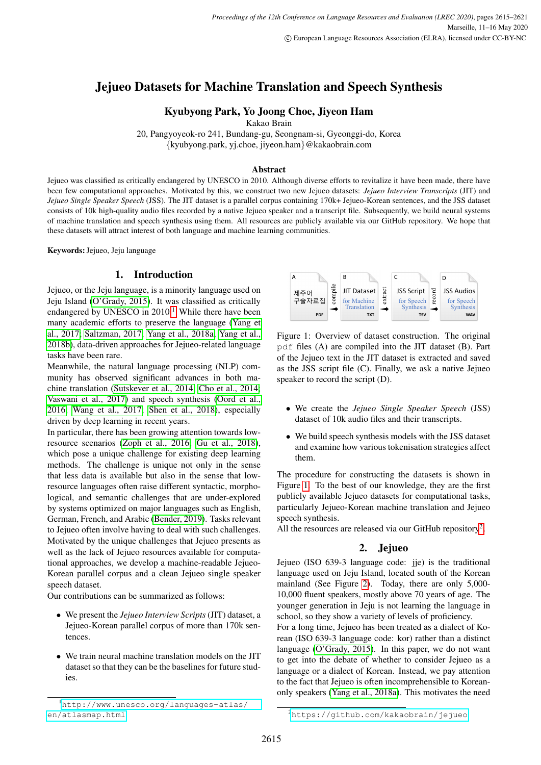# Jejueo Datasets for Machine Translation and Speech Synthesis

# Kyubyong Park, Yo Joong Choe, Jiyeon Ham

Kakao Brain

20, Pangyoyeok-ro 241, Bundang-gu, Seongnam-si, Gyeonggi-do, Korea {kyubyong.park, yj.choe, jiyeon.ham}@kakaobrain.com

#### Abstract

Jejueo was classified as critically endangered by UNESCO in 2010. Although diverse efforts to revitalize it have been made, there have been few computational approaches. Motivated by this, we construct two new Jejueo datasets: *Jejueo Interview Transcripts* (JIT) and *Jejueo Single Speaker Speech* (JSS). The JIT dataset is a parallel corpus containing 170k+ Jejueo-Korean sentences, and the JSS dataset consists of 10k high-quality audio files recorded by a native Jejueo speaker and a transcript file. Subsequently, we build neural systems of machine translation and speech synthesis using them. All resources are publicly available via our GitHub repository. We hope that these datasets will attract interest of both language and machine learning communities.

Keywords:Jejueo, Jeju language

## 1. Introduction

Jejueo, or the Jeju language, is a minority language used on Jeju Island [\(O'Grady, 2015\)](#page-5-0). It was classified as critically endangered by UNESCO in  $2010<sup>1</sup>$  $2010<sup>1</sup>$  $2010<sup>1</sup>$  While there have been many academic efforts to preserve the language [\(Yang et](#page-5-1) [al., 2017;](#page-5-1) [Saltzman, 2017;](#page-5-2) [Yang et al., 2018a;](#page-5-3) [Yang et al.,](#page-5-4) [2018b\)](#page-5-4), data-driven approaches for Jejueo-related language tasks have been rare.

Meanwhile, the natural language processing (NLP) community has observed significant advances in both machine translation [\(Sutskever et al., 2014;](#page-5-5) [Cho et al., 2014;](#page-5-6) [Vaswani et al., 2017\)](#page-5-7) and speech synthesis [\(Oord et al.,](#page-5-8) [2016;](#page-5-8) [Wang et al., 2017;](#page-5-9) [Shen et al., 2018\)](#page-5-10), especially driven by deep learning in recent years.

In particular, there has been growing attention towards lowresource scenarios [\(Zoph et al., 2016;](#page-5-11) [Gu et al., 2018\)](#page-5-12), which pose a unique challenge for existing deep learning methods. The challenge is unique not only in the sense that less data is available but also in the sense that lowresource languages often raise different syntactic, morphological, and semantic challenges that are under-explored by systems optimized on major languages such as English, German, French, and Arabic [\(Bender, 2019\)](#page-5-13). Tasks relevant to Jejueo often involve having to deal with such challenges. Motivated by the unique challenges that Jejueo presents as well as the lack of Jejueo resources available for computational approaches, we develop a machine-readable Jejueo-Korean parallel corpus and a clean Jejueo single speaker speech dataset.

Our contributions can be summarized as follows:

- We present the *Jejueo Interview Scripts*(JIT) dataset, a Jejueo-Korean parallel corpus of more than 170k sentences.
- We train neural machine translation models on the JIT dataset so that they can be the baselines for future studies.

<span id="page-0-1"></span>

Figure 1: Overview of dataset construction. The original pdf files (A) are compiled into the JIT dataset (B). Part of the Jejueo text in the JIT dataset is extracted and saved as the JSS script file (C). Finally, we ask a native Jejueo speaker to record the script (D).

- We create the *Jejueo Single Speaker Speech* (JSS) dataset of 10k audio files and their transcripts.
- We build speech synthesis models with the JSS dataset and examine how various tokenisation strategies affect them.

The procedure for constructing the datasets is shown in Figure [1.](#page-0-1) To the best of our knowledge, they are the first publicly available Jejueo datasets for computational tasks, particularly Jejueo-Korean machine translation and Jejueo speech synthesis.

All the resources are released via our GitHub repository<sup>[2](#page-0-2)</sup>.

# 2. Jejueo

<span id="page-0-3"></span>Jejueo (ISO 639-3 language code: jje) is the traditional language used on Jeju Island, located south of the Korean mainland (See Figure [2\)](#page-1-0). Today, there are only 5,000- 10,000 fluent speakers, mostly above 70 years of age. The younger generation in Jeju is not learning the language in school, so they show a variety of levels of proficiency.

For a long time, Jejueo has been treated as a dialect of Korean (ISO 639-3 language code: kor) rather than a distinct language [\(O'Grady, 2015\)](#page-5-0). In this paper, we do not want to get into the debate of whether to consider Jejueo as a language or a dialect of Korean. Instead, we pay attention to the fact that Jejueo is often incomprehensible to Koreanonly speakers [\(Yang et al., 2018a\)](#page-5-3). This motivates the need

<span id="page-0-0"></span><sup>1</sup>[http://www.unesco.org/languages-atlas/](http://www.unesco.org/languages-atlas/en/atlasmap.html) [en/atlasmap.html](http://www.unesco.org/languages-atlas/en/atlasmap.html)

<span id="page-0-2"></span><sup>2</sup><https://github.com/kakaobrain/jejueo>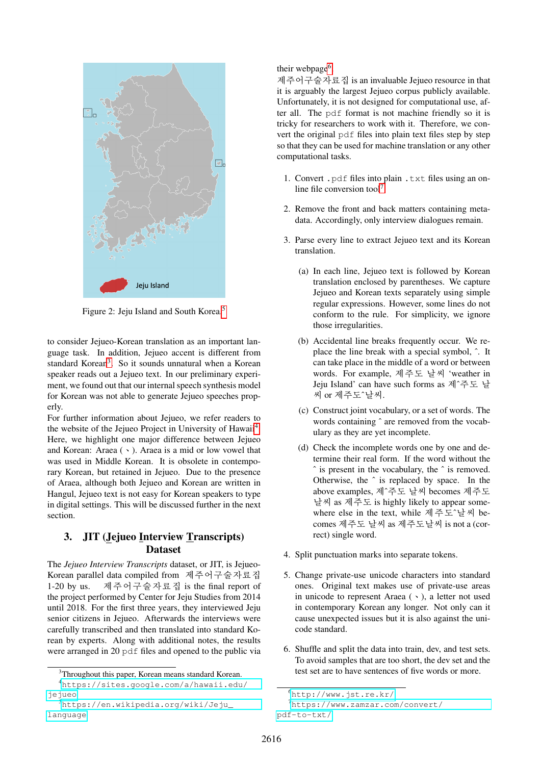<span id="page-1-0"></span>

Figure 2: Jeju Island and South Korea.[5](#page-1-1)

to consider Jejueo-Korean translation as an important language task. In addition, Jejueo accent is different from standard Korean<sup>[3](#page-1-2)</sup>. So it sounds unnatural when a Korean speaker reads out a Jejueo text. In our preliminary experiment, we found out that our internal speech synthesis model for Korean was not able to generate Jejueo speeches properly.

For further information about Jejueo, we refer readers to the website of the Jejueo Project in University of Hawaii<sup>[4](#page-1-3)</sup>. Here, we highlight one major difference between Jejueo and Korean: Araea  $( \cdot )$ . Araea is a mid or low vowel that was used in Middle Korean. It is obsolete in contemporary Korean, but retained in Jejueo. Due to the presence of Araea, although both Jejueo and Korean are written in Hangul, Jejueo text is not easy for Korean speakers to type in digital settings. This will be discussed further in the next section.

# 3. JIT (Jejueo Interview Transcripts) Dataset

The *Jejueo Interview Transcripts* dataset, or JIT, is Jejueo-Korean parallel data compiled from 제주어구술자료집 1-20 by us. 제주어구술자료집 is the final report of the project performed by Center for Jeju Studies from 2014 until 2018. For the first three years, they interviewed Jeju senior citizens in Jejueo. Afterwards the interviews were carefully transcribed and then translated into standard Korean by experts. Along with additional notes, the results were arranged in 20 pdf files and opened to the public via their webpage<sup>[6](#page-1-4)</sup>.

제주어구술자료집 is an invaluable Jejueo resource in that it is arguably the largest Jejueo corpus publicly available. Unfortunately, it is not designed for computational use, after all. The pdf format is not machine friendly so it is tricky for researchers to work with it. Therefore, we convert the original pdf files into plain text files step by step so that they can be used for machine translation or any other computational tasks.

- 1. Convert . pdf files into plain . txt files using an on-line file conversion tool<sup>[7](#page-1-5)</sup>.
- 2. Remove the front and back matters containing metadata. Accordingly, only interview dialogues remain.
- 3. Parse every line to extract Jejueo text and its Korean translation.
	- (a) In each line, Jejueo text is followed by Korean translation enclosed by parentheses. We capture Jejueo and Korean texts separately using simple regular expressions. However, some lines do not conform to the rule. For simplicity, we ignore those irregularities.
	- (b) Accidental line breaks frequently occur. We replace the line break with a special symbol, ˆ. It can take place in the middle of a word or between words. For example, 제주도 날씨 'weather in Jeju Island' can have such forms as 제^주도 날<br>씨 or 제주도^날씨.
	- (c) Construct joint vocabulary, or a set of words. The words containing  $\hat{ }$  are removed from the vocabulary as they are yet incomplete.
	- (d) Check the incomplete words one by one and determine their real form. If the word without the ˆ is present in the vocabulary, the ˆ is removed. Otherwise, the ˆ is replaced by space. In the above examples, 제ˆ주도 날씨 becomes 제주도 날씨 as 제주도 is highly likely to appear somewhere else in the text, while 제주도ˆ날씨 becomes 제주도 날씨 as 제주도날씨 is not a (correct) single word.
- 4. Split punctuation marks into separate tokens.
- 5. Change private-use unicode characters into standard ones. Original text makes use of private-use areas in unicode to represent Araea  $( \cdot )$ , a letter not used in contemporary Korean any longer. Not only can it cause unexpected issues but it is also against the unicode standard.
- 6. Shuffle and split the data into train, dev, and test sets. To avoid samples that are too short, the dev set and the test set are to have sentences of five words or more.

<span id="page-1-3"></span><span id="page-1-2"></span><sup>&</sup>lt;sup>3</sup>Throughout this paper, Korean means standard Korean.

<sup>4</sup>[https://sites.google.com/a/hawaii.edu/](https://sites.google.com/a/hawaii.edu/jejueo) [jejueo](https://sites.google.com/a/hawaii.edu/jejueo)

<span id="page-1-1"></span><sup>5</sup>[https://en.wikipedia.org/wiki/Jeju\\_](https://en.wikipedia.org/wiki/Jeju_language) [language](https://en.wikipedia.org/wiki/Jeju_language)

<span id="page-1-5"></span><span id="page-1-4"></span> $<sup>6</sup>$ <http://www.jst.re.kr/></sup>

<sup>7</sup>[https://www.zamzar.com/convert/](https://www.zamzar.com/convert/pdf-to-txt/) [pdf-to-txt/](https://www.zamzar.com/convert/pdf-to-txt/)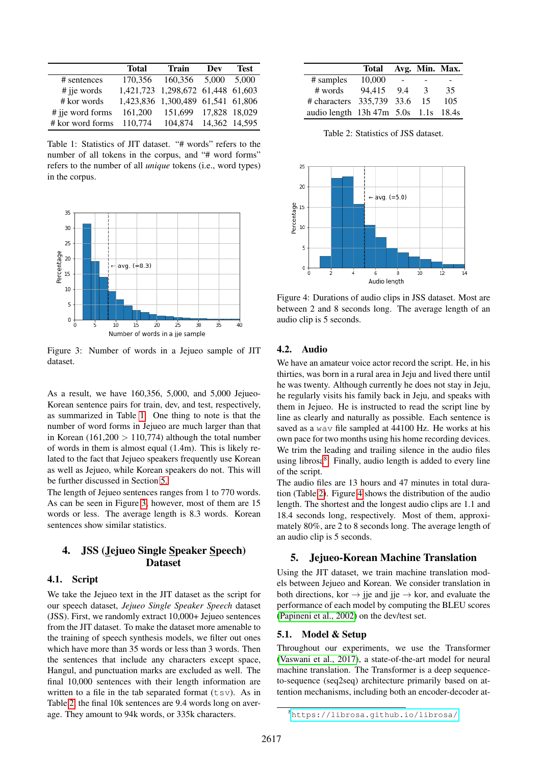<span id="page-2-0"></span>

|                  | <b>Total</b> | <b>Train</b>                      | Dev           | <b>Test</b> |
|------------------|--------------|-----------------------------------|---------------|-------------|
| # sentences      |              | 170,356 160,356 5,000             |               | 5,000       |
| $#$ jie words    |              | 1,421,723 1,298,672 61,448 61,603 |               |             |
| # kor words      |              | 1,423,836 1,300,489 61,541 61,806 |               |             |
| # jie word forms | 161,200      | 151,699 17,828 18,029             |               |             |
| # kor word forms | 110,774      | 104.874                           | 14,362 14,595 |             |

Table 1: Statistics of JIT dataset. "# words" refers to the number of all tokens in the corpus, and "# word forms" refers to the number of all *unique* tokens (i.e., word types) in the corpus.

<span id="page-2-2"></span>

Figure 3: Number of words in a Jejueo sample of JIT dataset.

As a result, we have 160,356, 5,000, and 5,000 Jejueo-Korean sentence pairs for train, dev, and test, respectively, as summarized in Table [1.](#page-2-0) One thing to note is that the number of word forms in Jejueo are much larger than that in Korean (161,200  $> 110,774$ ) although the total number of words in them is almost equal (1.4m). This is likely related to the fact that Jejueo speakers frequently use Korean as well as Jejueo, while Korean speakers do not. This will be further discussed in Section [5.](#page-2-1)

The length of Jejueo sentences ranges from 1 to 770 words. As can be seen in Figure [3,](#page-2-2) however, most of them are 15 words or less. The average length is 8.3 words. Korean sentences show similar statistics.

# 4. JSS (Jejueo Single Speaker Speech) Dataset

### 4.1. Script

We take the Jejueo text in the JIT dataset as the script for our speech dataset, *Jejueo Single Speaker Speech* dataset (JSS). First, we randomly extract 10,000+ Jejueo sentences from the JIT dataset. To make the dataset more amenable to the training of speech synthesis models, we filter out ones which have more than 35 words or less than 3 words. Then the sentences that include any characters except space, Hangul, and punctuation marks are excluded as well. The final 10,000 sentences with their length information are written to a file in the tab separated format  $(tsv)$ . As in Table [2,](#page-2-3) the final 10k sentences are 9.4 words long on average. They amount to 94k words, or 335k characters.

<span id="page-2-3"></span>

|                                      | Total  |     |    | Avg. Min. Max. |
|--------------------------------------|--------|-----|----|----------------|
| # samples                            | 10,000 |     |    |                |
| # words                              | 94,415 | 9.4 | -3 | 35             |
| # characters 335,739 33.6            |        |     | 15 | 105            |
| audio length 13h 47m 5.0s 1.1s 18.4s |        |     |    |                |

Table 2: Statistics of JSS dataset.

<span id="page-2-5"></span>

Figure 4: Durations of audio clips in JSS dataset. Most are between 2 and 8 seconds long. The average length of an audio clip is 5 seconds.

#### 4.2. Audio

We have an amateur voice actor record the script. He, in his thirties, was born in a rural area in Jeju and lived there until he was twenty. Although currently he does not stay in Jeju, he regularly visits his family back in Jeju, and speaks with them in Jejueo. He is instructed to read the script line by line as clearly and naturally as possible. Each sentence is saved as a way file sampled at 44100 Hz. He works at his own pace for two months using his home recording devices. We trim the leading and trailing silence in the audio files using librosa<sup>[8](#page-2-4)</sup>. Finally, audio length is added to every line of the script.

The audio files are 13 hours and 47 minutes in total duration (Table [2\)](#page-2-3). Figure [4](#page-2-5) shows the distribution of the audio length. The shortest and the longest audio clips are 1.1 and 18.4 seconds long, respectively. Most of them, approximately 80%, are 2 to 8 seconds long. The average length of an audio clip is 5 seconds.

#### <span id="page-2-1"></span>5. Jejueo-Korean Machine Translation

Using the JIT dataset, we train machine translation models between Jejueo and Korean. We consider translation in both directions, kor  $\rightarrow$  jie and jie  $\rightarrow$  kor, and evaluate the performance of each model by computing the BLEU scores [\(Papineni et al., 2002\)](#page-5-14) on the dev/test set.

### 5.1. Model & Setup

Throughout our experiments, we use the Transformer [\(Vaswani et al., 2017\)](#page-5-7), a state-of-the-art model for neural machine translation. The Transformer is a deep sequenceto-sequence (seq2seq) architecture primarily based on attention mechanisms, including both an encoder-decoder at-

<span id="page-2-4"></span><sup>8</sup><https://librosa.github.io/librosa/>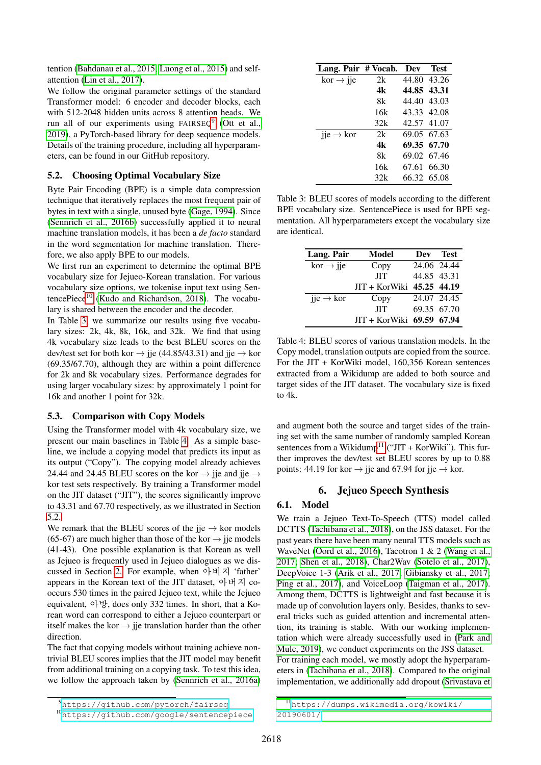tention [\(Bahdanau et al., 2015;](#page-4-0) [Luong et al., 2015\)](#page-5-15) and selfattention [\(Lin et al., 2017\)](#page-5-16).

We follow the original parameter settings of the standard Transformer model: 6 encoder and decoder blocks, each with 512-2048 hidden units across 8 attention heads. We run all of our experiments using  $FAIRSEQ<sup>9</sup>$  $FAIRSEQ<sup>9</sup>$  $FAIRSEQ<sup>9</sup>$  [\(Ott et al.,](#page-5-17) [2019\)](#page-5-17), a PyTorch-based library for deep sequence models. Details of the training procedure, including all hyperparameters, can be found in our GitHub repository.

### <span id="page-3-4"></span>5.2. Choosing Optimal Vocabulary Size

Byte Pair Encoding (BPE) is a simple data compression technique that iteratively replaces the most frequent pair of bytes in text with a single, unused byte [\(Gage, 1994\)](#page-5-18). Since [\(Sennrich et al., 2016b\)](#page-5-19) successfully applied it to neural machine translation models, it has been a *de facto* standard in the word segmentation for machine translation. Therefore, we also apply BPE to our models.

We first run an experiment to determine the optimal BPE vocabulary size for Jejueo-Korean translation. For various vocabulary size options, we tokenise input text using Sentence $\text{Piece}^{10}$  $\text{Piece}^{10}$  $\text{Piece}^{10}$  [\(Kudo and Richardson, 2018\)](#page-5-20). The vocabulary is shared between the encoder and the decoder.

In Table [3,](#page-3-2) we summarize our results using five vocabulary sizes: 2k, 4k, 8k, 16k, and 32k. We find that using 4k vocabulary size leads to the best BLEU scores on the dev/test set for both kor  $\rightarrow$  jje (44.85/43.31) and jje  $\rightarrow$  kor (69.35/67.70), although they are within a point difference for 2k and 8k vocabulary sizes. Performance degrades for using larger vocabulary sizes: by approximately 1 point for 16k and another 1 point for 32k.

### 5.3. Comparison with Copy Models

Using the Transformer model with 4k vocabulary size, we present our main baselines in Table [4.](#page-3-3) As a simple baseline, we include a copying model that predicts its input as its output ("Copy"). The copying model already achieves 24.44 and 24.45 BLEU scores on the kor  $\rightarrow$  jie and jie  $\rightarrow$ kor test sets respectively. By training a Transformer model on the JIT dataset ("JIT"), the scores significantly improve to 43.31 and 67.70 respectively, as we illustrated in Section [5.2.](#page-3-4)

We remark that the BLEU scores of the jie  $\rightarrow$  kor models (65-67) are much higher than those of the kor  $\rightarrow$  jie models (41-43). One possible explanation is that Korean as well as Jejueo is frequently used in Jejueo dialogues as we discussed in Section [2.](#page-0-3) For example, when 아버지 'father' appears in the Korean text of the JIT dataset, 아버지 cooccurs 530 times in the paired Jejueo text, while the Jejueo equivalent, 아방, does only 332 times. In short, that a Korean word can correspond to either a Jejueo counterpart or itself makes the kor  $\rightarrow$  jje translation harder than the other direction.

The fact that copying models without training achieve nontrivial BLEU scores implies that the JIT model may benefit from additional training on a copying task. To test this idea, we follow the approach taken by [\(Sennrich et al., 2016a\)](#page-5-21)

<span id="page-3-2"></span>

| Lang. Pair # Vocab.                 |     | Dev         | <b>Test</b> |
|-------------------------------------|-----|-------------|-------------|
| $kor \rightarrow jje$               | 2k  |             | 44.80 43.26 |
|                                     | 4k  | 44.85 43.31 |             |
|                                     | 8k  | 44.40 43.03 |             |
|                                     | 16k |             | 43.33 42.08 |
|                                     | 32k | 42.57 41.07 |             |
| $\text{jie} \rightarrow \text{kor}$ | 2k  |             | 69.05 67.63 |
|                                     | 4k  |             | 69.35 67.70 |
|                                     | 8k  |             | 69.02 67.46 |
|                                     | 16k |             | 67.61 66.30 |
|                                     | 32k |             | 66.32 65.08 |

Table 3: BLEU scores of models according to the different BPE vocabulary size. SentencePiece is used for BPE segmentation. All hyperparameters except the vocabulary size are identical.

<span id="page-3-3"></span>

| Lang. Pair                  | Model                     |             | Dev Test    |
|-----------------------------|---------------------------|-------------|-------------|
| $kor \rightarrow jie$       | Copy                      | 24.06 24.44 |             |
|                             | <b>JIT</b>                | 44.85 43.31 |             |
|                             | JIT + KorWiki 45.25 44.19 |             |             |
| $\mu$ ije $\rightarrow$ kor | Copy                      |             | 24.07 24.45 |
|                             | <b>JIT</b>                |             | 69.35 67.70 |
|                             | JIT + KorWiki 69.59 67.94 |             |             |

Table 4: BLEU scores of various translation models. In the Copy model, translation outputs are copied from the source. For the JIT + KorWiki model, 160,356 Korean sentences extracted from a Wikidump are added to both source and target sides of the JIT dataset. The vocabulary size is fixed to 4k.

and augment both the source and target sides of the training set with the same number of randomly sampled Korean sentences from a Wikidump<sup>[11](#page-3-5)</sup> ("JIT + KorWiki"). This further improves the dev/test set BLEU scores by up to 0.88 points: 44.19 for kor  $\rightarrow$  jie and 67.94 for jie  $\rightarrow$  kor.

### 6. Jejueo Speech Synthesis

### 6.1. Model

We train a Jejueo Text-To-Speech (TTS) model called DCTTS [\(Tachibana et al., 2018\)](#page-5-22), on the JSS dataset. For the past years there have been many neural TTS models such as WaveNet [\(Oord et al., 2016\)](#page-5-8), Tacotron 1 & 2 [\(Wang et al.,](#page-5-9) [2017;](#page-5-9) [Shen et al., 2018\)](#page-5-10), Char2Wav [\(Sotelo et al., 2017\)](#page-5-23), DeepVoice 1-3 [\(Arik et al., 2017;](#page-4-1) [Gibiansky et al., 2017;](#page-5-24) [Ping et al., 2017\)](#page-5-25), and VoiceLoop [\(Taigman et al., 2017\)](#page-5-26). Among them, DCTTS is lightweight and fast because it is made up of convolution layers only. Besides, thanks to several tricks such as guided attention and incremental attention, its training is stable. With our working implementation which were already successfully used in [\(Park and](#page-5-27) [Mulc, 2019\)](#page-5-27), we conduct experiments on the JSS dataset. For training each model, we mostly adopt the hyperparameters in [\(Tachibana et al., 2018\)](#page-5-22). Compared to the original implementation, we additionally add dropout [\(Srivastava et](#page-5-28)

<span id="page-3-1"></span><span id="page-3-0"></span><sup>9</sup><https://github.com/pytorch/fairseq>

<sup>10</sup><https://github.com/google/sentencepiece>

<span id="page-3-5"></span><sup>11</sup>[https://dumps.wikimedia.org/kowiki/](#page-5-28) [20190601/](#page-5-28)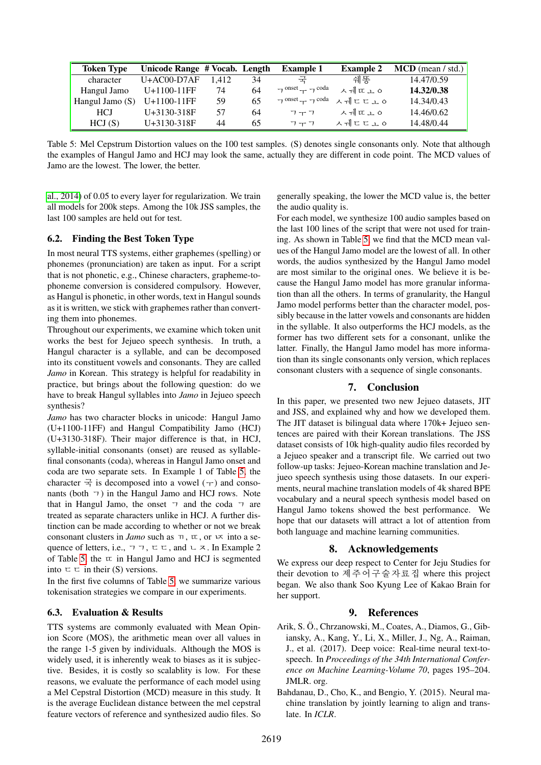<span id="page-4-2"></span>

| <b>Token Type</b> | Unicode Range # Vocab. Length |       |    | <b>Example 1</b>                | <b>Example 2</b> | $MCD$ (mean / std.) |
|-------------------|-------------------------------|-------|----|---------------------------------|------------------|---------------------|
| character         | $U+AC00-D7AF$                 | 1.412 | 34 | 士                               | 쉐똥               | 14.47/0.59          |
| Hangul Jamo       | $U+1100-11FF$                 | 74    | 64 | $\neg$ onset $\neg$ $\neg$ coda | ᄉᆌ또ᅌ             | 14.32/0.38          |
| Hangul Jamo $(S)$ | $U+1100-11FF$                 | 59    | 65 | $7^{onset}$ $7^{coda}$          | ㅅᅰㄷㄷ고ㅇ           | 14.34/0.43          |
| <b>HCJ</b>        | $U+3130-318F$                 | 57    | 64 | フーフ                             | ᄉᆌ또ᅌ             | 14.46/0.62          |
| HCJ(S)            | U+3130-318F                   | 44    | 65 | フーフ                             | ㅅᅰㄷㄷㅗㅇ           | 14.48/0.44          |

Table 5: Mel Cepstrum Distortion values on the 100 test samples. (S) denotes single consonants only. Note that although the examples of Hangul Jamo and HCJ may look the same, actually they are different in code point. The MCD values of Jamo are the lowest. The lower, the better.

[al., 2014\)](#page-5-28) of 0.05 to every layer for regularization. We train all models for 200k steps. Among the 10k JSS samples, the last 100 samples are held out for test.

#### 6.2. Finding the Best Token Type

In most neural TTS systems, either graphemes (spelling) or phonemes (pronunciation) are taken as input. For a script that is not phonetic, e.g., Chinese characters, grapheme-tophoneme conversion is considered compulsory. However, as Hangul is phonetic, in other words, text in Hangul sounds as it is written, we stick with graphemes rather than converting them into phonemes.

Throughout our experiments, we examine which token unit works the best for Jejueo speech synthesis. In truth, a Hangul character is a syllable, and can be decomposed into its constituent vowels and consonants. They are called *Jamo* in Korean. This strategy is helpful for readability in practice, but brings about the following question: do we have to break Hangul syllables into *Jamo* in Jejueo speech synthesis?

*Jamo* has two character blocks in unicode: Hangul Jamo (U+1100-11FF) and Hangul Compatibility Jamo (HCJ) (U+3130-318F). Their major difference is that, in HCJ, syllable-initial consonants (onset) are reused as syllablefinal consonants (coda), whereas in Hangul Jamo onset and coda are two separate sets. In Example 1 of Table [5,](#page-4-2) the character  $\vec{\pm}$  is decomposed into a vowel ( $\pm$ ) and consonants (both  $\tau$ ) in the Hangul Jamo and HCJ rows. Note that in Hangul Jamo, the onset ㄱ and the coda ㄱ are treated as separate characters unlike in HCJ. A further distinction can be made according to whether or not we break consonant clusters in *Jamo* such as  $\pi$ ,  $\pi$ , or  $\pi$  into a sequence of letters, i.e.,  $\forall \forall \tau$ ,  $\forall \tau \in \exists$ , and  $\forall \tau$ . In Example 2 of Table [5,](#page-4-2) the  $\pi$  in Hangul Jamo and HCJ is segmented into  $\Box \Box$  in their (S) versions.

In the first five columns of Table [5,](#page-4-2) we summarize various tokenisation strategies we compare in our experiments.

#### 6.3. Evaluation & Results

TTS systems are commonly evaluated with Mean Opinion Score (MOS), the arithmetic mean over all values in the range 1-5 given by individuals. Although the MOS is widely used, it is inherently weak to biases as it is subjective. Besides, it is costly so scalablity is low. For these reasons, we evaluate the performance of each model using a Mel Cepstral Distortion (MCD) measure in this study. It is the average Euclidean distance between the mel cepstral feature vectors of reference and synthesized audio files. So generally speaking, the lower the MCD value is, the better the audio quality is.

For each model, we synthesize 100 audio samples based on the last 100 lines of the script that were not used for training. As shown in Table [5,](#page-4-2) we find that the MCD mean values of the Hangul Jamo model are the lowest of all. In other words, the audios synthesized by the Hangul Jamo model are most similar to the original ones. We believe it is because the Hangul Jamo model has more granular information than all the others. In terms of granularity, the Hangul Jamo model performs better than the character model, possibly because in the latter vowels and consonants are hidden in the syllable. It also outperforms the HCJ models, as the former has two different sets for a consonant, unlike the latter. Finally, the Hangul Jamo model has more information than its single consonants only version, which replaces consonant clusters with a sequence of single consonants.

### 7. Conclusion

In this paper, we presented two new Jejueo datasets, JIT and JSS, and explained why and how we developed them. The JIT dataset is bilingual data where 170k+ Jejueo sentences are paired with their Korean translations. The JSS dataset consists of 10k high-quality audio files recorded by a Jejueo speaker and a transcript file. We carried out two follow-up tasks: Jejueo-Korean machine translation and Jejueo speech synthesis using those datasets. In our experiments, neural machine translation models of 4k shared BPE vocabulary and a neural speech synthesis model based on Hangul Jamo tokens showed the best performance. We hope that our datasets will attract a lot of attention from both language and machine learning communities.

### 8. Acknowledgements

We express our deep respect to Center for Jeju Studies for their devotion to 제주어구술자료집 where this project began. We also thank Soo Kyung Lee of Kakao Brain for her support.

### 9. References

- <span id="page-4-1"></span>Arik, S. O., Chrzanowski, M., Coates, A., Diamos, G., Gib- ¨ iansky, A., Kang, Y., Li, X., Miller, J., Ng, A., Raiman, J., et al. (2017). Deep voice: Real-time neural text-tospeech. In *Proceedings of the 34th International Conference on Machine Learning-Volume 70*, pages 195–204. JMLR. org.
- <span id="page-4-0"></span>Bahdanau, D., Cho, K., and Bengio, Y. (2015). Neural machine translation by jointly learning to align and translate. In *ICLR*.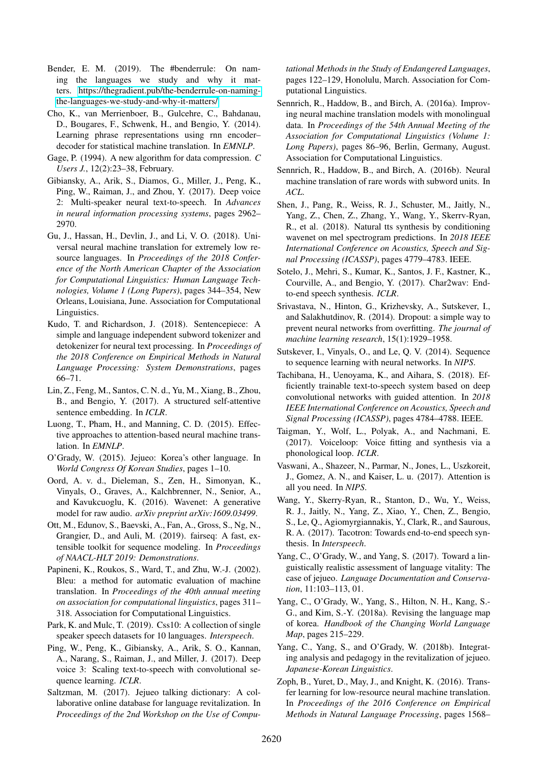- <span id="page-5-13"></span>Bender, E. M. (2019). The #benderrule: On naming the languages we study and why it matters. [https://thegradient.pub/the-benderrule-on-naming](https://thegradient.pub/the-benderrule-on-naming-the-languages-we-study-and-why-it-matters/)[the-languages-we-study-and-why-it-matters/.](https://thegradient.pub/the-benderrule-on-naming-the-languages-we-study-and-why-it-matters/)
- <span id="page-5-6"></span>Cho, K., van Merrienboer, B., Gulcehre, C., Bahdanau, D., Bougares, F., Schwenk, H., and Bengio, Y. (2014). Learning phrase representations using rnn encoder– decoder for statistical machine translation. In *EMNLP*.
- <span id="page-5-18"></span>Gage, P. (1994). A new algorithm for data compression. *C Users J.*, 12(2):23–38, February.
- <span id="page-5-24"></span>Gibiansky, A., Arik, S., Diamos, G., Miller, J., Peng, K., Ping, W., Raiman, J., and Zhou, Y. (2017). Deep voice 2: Multi-speaker neural text-to-speech. In *Advances in neural information processing systems*, pages 2962– 2970.
- <span id="page-5-12"></span>Gu, J., Hassan, H., Devlin, J., and Li, V. O. (2018). Universal neural machine translation for extremely low resource languages. In *Proceedings of the 2018 Conference of the North American Chapter of the Association for Computational Linguistics: Human Language Technologies, Volume 1 (Long Papers)*, pages 344–354, New Orleans, Louisiana, June. Association for Computational Linguistics.
- <span id="page-5-20"></span>Kudo, T. and Richardson, J. (2018). Sentencepiece: A simple and language independent subword tokenizer and detokenizer for neural text processing. In *Proceedings of the 2018 Conference on Empirical Methods in Natural Language Processing: System Demonstrations*, pages 66–71.
- <span id="page-5-16"></span>Lin, Z., Feng, M., Santos, C. N. d., Yu, M., Xiang, B., Zhou, B., and Bengio, Y. (2017). A structured self-attentive sentence embedding. In *ICLR*.
- <span id="page-5-15"></span>Luong, T., Pham, H., and Manning, C. D. (2015). Effective approaches to attention-based neural machine translation. In *EMNLP*.
- <span id="page-5-0"></span>O'Grady, W. (2015). Jejueo: Korea's other language. In *World Congress Of Korean Studies*, pages 1–10.
- <span id="page-5-8"></span>Oord, A. v. d., Dieleman, S., Zen, H., Simonyan, K., Vinyals, O., Graves, A., Kalchbrenner, N., Senior, A., and Kavukcuoglu, K. (2016). Wavenet: A generative model for raw audio. *arXiv preprint arXiv:1609.03499*.
- <span id="page-5-17"></span>Ott, M., Edunov, S., Baevski, A., Fan, A., Gross, S., Ng, N., Grangier, D., and Auli, M. (2019). fairseq: A fast, extensible toolkit for sequence modeling. In *Proceedings of NAACL-HLT 2019: Demonstrations*.
- <span id="page-5-14"></span>Papineni, K., Roukos, S., Ward, T., and Zhu, W.-J. (2002). Bleu: a method for automatic evaluation of machine translation. In *Proceedings of the 40th annual meeting on association for computational linguistics*, pages 311– 318. Association for Computational Linguistics.
- <span id="page-5-27"></span>Park, K. and Mulc, T. (2019). Css10: A collection of single speaker speech datasets for 10 languages. *Interspeech*.
- <span id="page-5-25"></span>Ping, W., Peng, K., Gibiansky, A., Arik, S. O., Kannan, A., Narang, S., Raiman, J., and Miller, J. (2017). Deep voice 3: Scaling text-to-speech with convolutional sequence learning. *ICLR*.
- <span id="page-5-2"></span>Saltzman, M. (2017). Jejueo talking dictionary: A collaborative online database for language revitalization. In *Proceedings of the 2nd Workshop on the Use of Compu-*

*tational Methods in the Study of Endangered Languages*, pages 122–129, Honolulu, March. Association for Computational Linguistics.

- <span id="page-5-21"></span>Sennrich, R., Haddow, B., and Birch, A. (2016a). Improving neural machine translation models with monolingual data. In *Proceedings of the 54th Annual Meeting of the Association for Computational Linguistics (Volume 1: Long Papers)*, pages 86–96, Berlin, Germany, August. Association for Computational Linguistics.
- <span id="page-5-19"></span>Sennrich, R., Haddow, B., and Birch, A. (2016b). Neural machine translation of rare words with subword units. In *ACL*.
- <span id="page-5-10"></span>Shen, J., Pang, R., Weiss, R. J., Schuster, M., Jaitly, N., Yang, Z., Chen, Z., Zhang, Y., Wang, Y., Skerrv-Ryan, R., et al. (2018). Natural tts synthesis by conditioning wavenet on mel spectrogram predictions. In *2018 IEEE International Conference on Acoustics, Speech and Signal Processing (ICASSP)*, pages 4779–4783. IEEE.
- <span id="page-5-23"></span>Sotelo, J., Mehri, S., Kumar, K., Santos, J. F., Kastner, K., Courville, A., and Bengio, Y. (2017). Char2wav: Endto-end speech synthesis. *ICLR*.
- <span id="page-5-28"></span>Srivastava, N., Hinton, G., Krizhevsky, A., Sutskever, I., and Salakhutdinov, R. (2014). Dropout: a simple way to prevent neural networks from overfitting. *The journal of machine learning research*, 15(1):1929–1958.
- <span id="page-5-5"></span>Sutskever, I., Vinyals, O., and Le, Q. V. (2014). Sequence to sequence learning with neural networks. In *NIPS*.
- <span id="page-5-22"></span>Tachibana, H., Uenoyama, K., and Aihara, S. (2018). Efficiently trainable text-to-speech system based on deep convolutional networks with guided attention. In *2018 IEEE International Conference on Acoustics, Speech and Signal Processing (ICASSP)*, pages 4784–4788. IEEE.
- <span id="page-5-26"></span>Taigman, Y., Wolf, L., Polyak, A., and Nachmani, E. (2017). Voiceloop: Voice fitting and synthesis via a phonological loop. *ICLR*.
- <span id="page-5-7"></span>Vaswani, A., Shazeer, N., Parmar, N., Jones, L., Uszkoreit, J., Gomez, A. N., and Kaiser, L. u. (2017). Attention is all you need. In *NIPS*.
- <span id="page-5-9"></span>Wang, Y., Skerry-Ryan, R., Stanton, D., Wu, Y., Weiss, R. J., Jaitly, N., Yang, Z., Xiao, Y., Chen, Z., Bengio, S., Le, Q., Agiomyrgiannakis, Y., Clark, R., and Saurous, R. A. (2017). Tacotron: Towards end-to-end speech synthesis. In *Interspeech*.
- <span id="page-5-1"></span>Yang, C., O'Grady, W., and Yang, S. (2017). Toward a linguistically realistic assessment of language vitality: The case of jejueo. *Language Documentation and Conservation*, 11:103–113, 01.
- <span id="page-5-3"></span>Yang, C., O'Grady, W., Yang, S., Hilton, N. H., Kang, S.- G., and Kim, S.-Y. (2018a). Revising the language map of korea. *Handbook of the Changing World Language Map*, pages 215–229.
- <span id="page-5-4"></span>Yang, C., Yang, S., and O'Grady, W. (2018b). Integrating analysis and pedagogy in the revitalization of jejueo. *Japanese-Korean Linguistics*.
- <span id="page-5-11"></span>Zoph, B., Yuret, D., May, J., and Knight, K. (2016). Transfer learning for low-resource neural machine translation. In *Proceedings of the 2016 Conference on Empirical Methods in Natural Language Processing*, pages 1568–